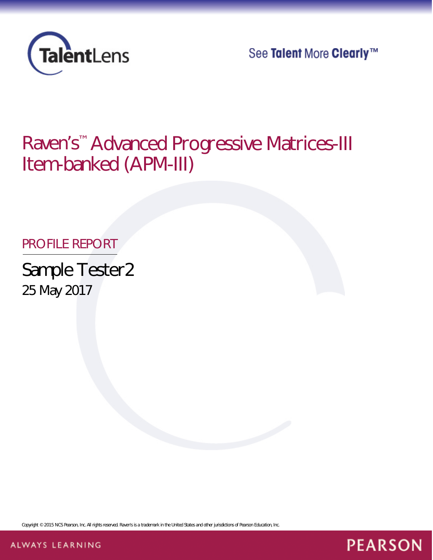

See Talent More Clearly™

**PEARSON** 

# Raven's™ Advanced Progressive Matrices-III Item-banked (APM-III)

# PROFILE REPORT

Sample Tester2 25 May 2017

*Copyright © 2015 NCS Pearson, Inc. All rights reserved. Raven's is a trademark in the United States and other jurisdictions of Pearson Education, Inc.*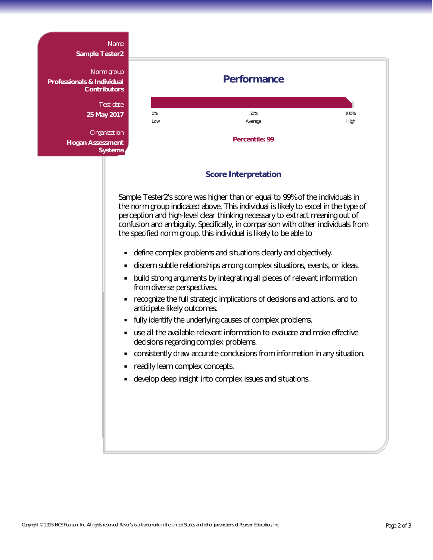#### Name

**Sample Tester2**

Norm group **Professionals & Individual Contributors**

> Test date **25 May 2017**

**Organization Hogan Assessment Systems**



### **Score Interpretation**

Sample Tester2's score was higher than or equal to 99% of the individuals in the norm group indicated above. This individual is likely to excel in the type of perception and high-level clear thinking necessary to extract meaning out of confusion and ambiguity. Specifically, in comparison with other individuals from the specified norm group, this individual is likely to be able to

- $\blacksquare$ define complex problems and situations clearly and objectively.
- $\blacksquare$ discern subtle relationships among complex situations, events, or ideas.
- $\blacksquare$ build strong arguments by integrating all pieces of relevant information from diverse perspectives.
- recognize the full strategic implications of decisions and actions, and to  $\blacksquare$ anticipate likely outcomes.
- $\blacksquare$ fully identify the underlying causes of complex problems.
- use all the available relevant information to evaluate and make effective  $\blacksquare$ decisions regarding complex problems.
- consistently draw accurate conclusions from information in any situation.  $\blacksquare$
- readily learn complex concepts.  $\blacksquare$
- develop deep insight into complex issues and situations.  $\blacksquare$